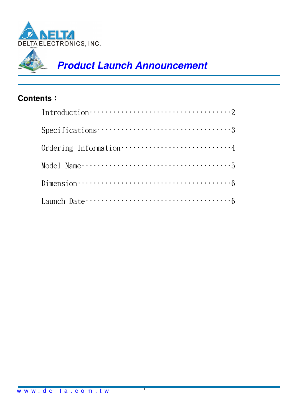

### **Contents**:

| Introduction $\cdots$ $\cdots$ $\cdots$ $\cdots$ $\cdots$ $\cdots$ $\cdots$ $\cdots$ $\cdots$ $\cdots$ $\cdots$ $\cdots$ $\cdots$ $\cdots$ $\cdots$ $\cdots$ $\cdots$ $\cdots$ $\cdots$ $\cdots$ $\cdots$ $\cdots$ $\cdots$ $\cdots$ $\cdots$ $\cdots$ $\cdots$ $\cdots$ $\cdots$ $\cdots$ $\cdots$ $\cdots$ $\cdots$ $\cdots$ $\cdots$ |
|-----------------------------------------------------------------------------------------------------------------------------------------------------------------------------------------------------------------------------------------------------------------------------------------------------------------------------------------|
| $Specifications \cdots \cdots \cdots \cdots \cdots \cdots \cdots \cdots \cdots \cdots \cdots \cdots$                                                                                                                                                                                                                                    |
| Ordering Information ·······························4                                                                                                                                                                                                                                                                                   |
|                                                                                                                                                                                                                                                                                                                                         |
| Dimension $\cdots$ $\cdots$ $\cdots$ $\cdots$ $\cdots$ $\cdots$ $\cdots$ $\cdots$ $\cdots$ $\cdots$ $\cdots$ $\cdots$ $\cdots$ $\cdots$ $\cdots$ $\cdots$ $\cdots$ $\cdots$ $\cdots$ $\cdots$ $\cdots$ $\cdots$ $\cdots$ $\cdots$ $\cdots$ $\cdots$ $\cdots$ $\cdots$ $\cdots$ $\cdots$ $\cdots$ $\cdots$ $\cdots$ $\cdots$ $\cdots$    |
| Launch Date $\cdots$ $\cdots$ $\cdots$ $\cdots$ $\cdots$ $\cdots$ $\cdots$ $\cdots$ $\cdots$ $\cdots$ $\cdots$ $\cdots$ $\cdots$ $\cdots$ $\cdots$ $\cdots$ $\cdots$ $\cdots$ $\cdots$ $\cdots$ $\cdots$ $\cdots$ $\cdots$ $\cdots$ $\cdots$ $\cdots$ $\cdots$ $\cdots$ $\cdots$ $\cdots$ $\cdots$ $\cdots$ $\cdots$ $\cdots$ $\cdots$  |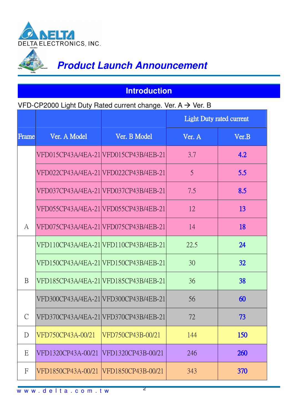

### **Introduction**

#### VFD-CP2000 Light Duty Rated current change. Ver. A  $\rightarrow$  Ver. B

|                |                    |                                       | <b>Light Duty rated current</b> |           |
|----------------|--------------------|---------------------------------------|---------------------------------|-----------|
| <b>Frame</b>   | Ver. A Model       | Ver. B Model                          | Ver. A                          | Ver.B     |
|                |                    | VFD015CP43A/4EA-21 VFD015CP43B/4EB-21 | 3.7                             | 4.2       |
|                |                    | VFD022CP43A/4EA-21 VFD022CP43B/4EB-21 | 5                               | 5.5       |
|                |                    | VFD037CP43A/4EA-21 VFD037CP43B/4EB-21 | 7.5                             | 8.5       |
|                |                    | VFD055CP43A/4EA-21 VFD055CP43B/4EB-21 | 12                              | 13        |
| A              |                    | VFD075CP43A/4EA-21 VFD075CP43B/4EB-21 | 14                              | <b>18</b> |
|                |                    | VFD110CP43A/4EA-21 VFD110CP43B/4EB-21 | 22.5                            | 24        |
|                |                    | VFD150CP43A/4EA-21 VFD150CP43B/4EB-21 | 30                              | 32        |
| <sub>B</sub>   |                    | VFD185CP43A/4EA-21 VFD185CP43B/4EB-21 | 36                              | 38        |
|                |                    | VFD300CP43A/4EA-21 VFD300CP43B/4EB-21 | 56                              | 60        |
| $\mathcal{C}$  |                    | VFD370CP43A/4EA-21 VFD370CP43B/4EB-21 | 72                              | 73        |
| $\mathbf{D}$   | VFD750CP43A-00/21  | VFD750CP43B-00/21                     | 144                             | 150       |
| E              | VFD1320CP43A-00/21 | VFD1320CP43B-00/21                    | 246                             | 260       |
| $\overline{F}$ | VFD1850CP43A-00/21 | VFD1850CP43B-00/21                    | 343                             | 370       |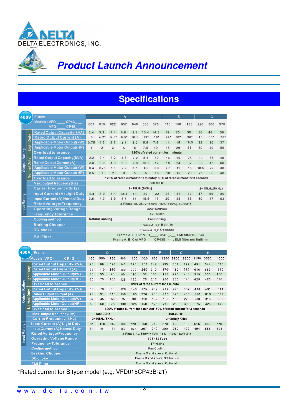

# **Specifications**

| 460 <b>\</b>         |                                                          | Frame                                |                                                                         |                        |                | Α      |                                          |                                    |                    |                                                               | в            |       |                                                                         | с                 |       |
|----------------------|----------------------------------------------------------|--------------------------------------|-------------------------------------------------------------------------|------------------------|----------------|--------|------------------------------------------|------------------------------------|--------------------|---------------------------------------------------------------|--------------|-------|-------------------------------------------------------------------------|-------------------|-------|
|                      |                                                          | Models: VFD-<br>CP43 -               | 007                                                                     | 015                    | 022            | 037    | 040                                      | 055                                | 075                | 110                                                           | 150          | 185   | 220                                                                     | 300               | 370   |
|                      |                                                          | CP4E -<br>VFD-                       |                                                                         |                        |                |        |                                          |                                    |                    |                                                               |              |       |                                                                         |                   |       |
|                      |                                                          | Rated Output Capacity(kVA)           | 2.4                                                                     | 3.3                    | 4, 4           | 6.8    | 8.4                                      | 10.4                               | 14.3               | 19                                                            | 25           | 30    | 36                                                                      | 48                | 58    |
|                      | Duty                                                     | <b>Rated Output Current (A)</b>      | $\mathbf{3}$                                                            | $4.2^*$                | $5.5*$         | $8.5*$ | 10.5                                     | 13"                                | 18"                | $24*$                                                         | 32"          | $38*$ | 45                                                                      | 60*               | $73*$ |
|                      |                                                          | <b>Applicable Motor Output(kW)</b>   | 0.75                                                                    | 1.5                    | 2.2            | 3.7    | 4.0                                      | 5.5                                | 7.5                | 11                                                            | 15           | 18.5  | 22                                                                      | 30                | 37    |
|                      | Light                                                    | <b>Applicable Motor Output(HP)</b>   | $\mathbf{1}$                                                            | $\overline{2}$         | 3              | 5      | 5                                        | 7.5                                | 10                 | 15                                                            | 20           | 25    | 30                                                                      | 40                | 50    |
|                      |                                                          | <b>Overload tolerance</b>            |                                                                         |                        |                |        |                                          | 120% of rated current for 1 minute |                    |                                                               |              |       |                                                                         |                   |       |
|                      |                                                          | Rated Output Capacity(kVA)           | 2.2                                                                     | 2.4                    | 3.2            | 4.8    | 7.2                                      | 8.4                                | 10                 | 14                                                            | 19           | 25    | 30                                                                      | 36                | 48    |
|                      |                                                          | <b>Rated Output Current (A)</b>      | 2.8                                                                     | 3.0                    | 4.0            | 6.0    | 9.0                                      | 10.5                               | 12                 | 18                                                            | 24           | 32    | 38                                                                      | 45                | 60    |
| <b>Output Rating</b> | Normal Duty                                              | <b>Applicable Motor Output(kW)</b>   | 0.4                                                                     | 0.75                   | 1.5            | 2.2    | 3.7                                      | 4.0                                | 5.5                | 7.5                                                           | 11           | 15    | 18.5                                                                    | 22                | 30    |
|                      |                                                          | Applicable Motor Output(HP)          | 0.5                                                                     | $\mathbf{1}$           | $\overline{2}$ | 3      | 5                                        | 5                                  | 7.5                | 10                                                            | 15           | 20    | 25                                                                      | 30                | 40    |
|                      |                                                          | Overload tolerance                   | 120% of rated current for 1 minute; 160% of rated current for 3 seconds |                        |                |        |                                          |                                    |                    |                                                               |              |       |                                                                         |                   |       |
|                      |                                                          | Max. output frequency(Hz)            |                                                                         |                        |                |        |                                          |                                    | 600.00Hz           |                                                               |              |       |                                                                         |                   |       |
|                      |                                                          | <b>Carrier Frequency (kHz)</b>       |                                                                         |                        |                |        | 2~15kHz(8KHz)                            |                                    |                    |                                                               |              |       |                                                                         | $2 - 10kHz(6kHz)$ |       |
|                      |                                                          | Input Current (A) Light Duty         | 4.3                                                                     | 6.0                    | 8.1            | 12.4   | 16                                       | 20                                 | 22                 | 26                                                            | 35           | 42    | 47                                                                      | 66                | 80    |
|                      |                                                          | <b>Input Current (A) Normal Duty</b> | 3.5                                                                     | 4.3                    | 5.9            | 8.7    | 14                                       | 15.5                               | 17                 | 20                                                            | 26           | 35    | 40                                                                      | 47                | 63    |
|                      |                                                          | Rated Voltage/Frequency              |                                                                         |                        |                |        | 3-Phase AC 380V~480V(-15%~+10%), 50/60Hz |                                    |                    |                                                               |              |       |                                                                         |                   |       |
| Input Rating         |                                                          | <b>Operating Voltage Range</b>       |                                                                         |                        |                |        |                                          |                                    | 323~528Vac         |                                                               |              |       |                                                                         |                   |       |
|                      |                                                          | <b>Frequency Tolerance</b>           |                                                                         |                        |                |        |                                          |                                    | $47 - 63$ Hz       |                                                               |              |       |                                                                         |                   |       |
|                      |                                                          | <b>Cooling method</b>                |                                                                         | <b>Natural Cooling</b> |                |        |                                          |                                    | <b>Fan Cooling</b> |                                                               |              |       |                                                                         |                   |       |
|                      |                                                          | <b>Braking Chopper</b>               |                                                                         |                        |                |        |                                          |                                    |                    | Frame A, B, C Built-in                                        |              |       |                                                                         |                   |       |
| DC choke             |                                                          |                                      | Frame A, B, C Optional                                                  |                        |                |        |                                          |                                    |                    |                                                               |              |       |                                                                         |                   |       |
| <b>EMIFilter</b>     |                                                          |                                      | Frame A, B, C of VFD____CP4E_-__, EMI filter Built-in                   |                        |                |        |                                          |                                    |                    |                                                               |              |       |                                                                         |                   |       |
|                      | Frame A, B, C of VFD___CP43E_-_, EMI filter not Built-in |                                      |                                                                         |                        |                |        |                                          |                                    |                    |                                                               |              |       |                                                                         |                   |       |
|                      |                                                          |                                      |                                                                         |                        |                |        |                                          |                                    |                    |                                                               |              |       |                                                                         |                   |       |
| 460V<br>Frame        |                                                          |                                      |                                                                         | D                      |                |        | Е                                        |                                    | F                  |                                                               | G            |       |                                                                         | н                 |       |
|                      |                                                          | Models VFD-<br>CP43 -                | 450                                                                     | 550                    | 750            | 900    | 1100                                     | 1320 1600                          |                    | 1850                                                          | 2200         | 2800  | 3150                                                                    | 3550              | 4000  |
|                      |                                                          | Rated Output Capacity(kVA)           | 73                                                                      | 88                     | 120            | 143    |                                          |                                    |                    |                                                               |              |       |                                                                         |                   |       |
|                      | Duty                                                     | <b>Rated Output Current (A)</b>      |                                                                         |                        |                |        | 175                                      | 207                                | 247                | 295                                                           | 367          | 422   | 491                                                                     | 544               | 613   |
|                      |                                                          |                                      | 91                                                                      | 110                    | $150*$         | 180    | 220                                      | 260* 310                           |                    | $370*$                                                        | 460          | 530   | 616                                                                     | 683               | 770   |
|                      |                                                          | <b>Applicable Motor Output(kW)</b>   | 45                                                                      | 55                     | 75             | 90     | 110                                      | 132                                | 160                | 185                                                           | 220          | 280   | 315                                                                     | 355               | 400   |
|                      |                                                          | <b>Applicable Motor Output(HP)</b>   | 60                                                                      | 75                     | 100            | 125    | 150                                      | 175                                | 215                | 250                                                           | 300          | 375   | 425                                                                     | 475               | 536   |
|                      | Light                                                    | Overload tolerance                   |                                                                         |                        |                |        |                                          |                                    |                    | 120% of rated current for 1 minute                            |              |       |                                                                         |                   |       |
|                      |                                                          | Rated Output Capacity(kVA)           | 58                                                                      | 73                     | 88             | 120    | 143                                      | 175                                | 207                | 247                                                           | 295          | 367   | 438                                                                     | 491               | 544   |
|                      |                                                          | <b>Rated Output Current (A)</b>      | 73                                                                      | 91                     | 110            | 150    | 180                                      | 220                                | 260                | 310                                                           | 370          | 460   | 550                                                                     | 616               | 683   |
|                      | Duty                                                     | <b>Applicable Motor Output(kW)</b>   | 37                                                                      | 45                     | 55             | 75     | 90                                       | 110                                | 132                | 160                                                           | 185          | 220   | 280                                                                     | 315               | 355   |
| <b>Output Rating</b> |                                                          | <b>Applicable Motor Output(HP)</b>   | 50                                                                      | 60                     | 75             | 100    | 125                                      | 150                                | 175                | 215                                                           | 250          | 300   | 375                                                                     | 425               | 475   |
|                      | Normal                                                   | <b>Overload tolerance</b>            |                                                                         |                        |                |        |                                          |                                    |                    |                                                               |              |       | 120% of rated current for 1 minute; 160% of rated current for 3 seconds |                   |       |
|                      |                                                          | Max. output frequency(Hz)            |                                                                         | 600.00Hz               |                |        |                                          |                                    |                    |                                                               | 400.00Hz     |       |                                                                         |                   |       |
|                      |                                                          | Carrier Frequency (kHz)              |                                                                         | 2~10kHz(6KHz)          |                |        |                                          |                                    |                    |                                                               | 2~9kHz(4KHz) |       |                                                                         |                   |       |
|                      |                                                          | Input Current (A) Light Duty         | 91                                                                      | 110                    | 150            | 180    | 220                                      | 260                                | 310                | 370                                                           | 460          | 530   | 616                                                                     | 683               | 770   |
|                      |                                                          | <b>Input Current (A) Normal Duty</b> | 74                                                                      | 101                    | 114            | 157    | 167                                      | 207                                | 240                | 300                                                           | 380          | 400   | 494                                                                     | 555               | 625   |
|                      |                                                          | <b>Rated Voltage/Frequency</b>       |                                                                         |                        |                |        | 3-Phase AC 380V~480V(-15%~+10%), 50/60Hz |                                    |                    |                                                               |              |       |                                                                         |                   |       |
| <b>Input Rating</b>  |                                                          | <b>Operating Voltage Range</b>       |                                                                         |                        |                |        |                                          |                                    | 323~528Vac         |                                                               |              |       |                                                                         |                   |       |
|                      |                                                          | <b>Frequency Tolerance</b>           |                                                                         |                        |                |        |                                          |                                    | $47 - 63$ Hz       |                                                               |              |       |                                                                         |                   |       |
|                      |                                                          | <b>Cooling method</b>                |                                                                         |                        |                |        |                                          |                                    | Fan Cooling        |                                                               |              |       |                                                                         |                   |       |
|                      |                                                          | <b>Braking Chopper</b><br>DC choke   |                                                                         |                        |                |        |                                          |                                    |                    | Frame D and above: Optional<br>Frame D and above: 3% built-in |              |       |                                                                         |                   |       |

\*Rated current for B type model (e.g. VFD015CP43B-21)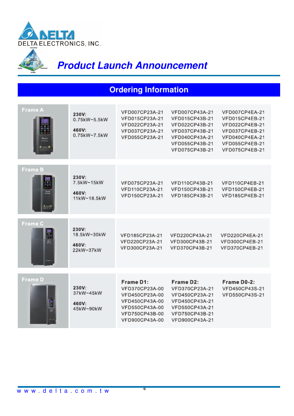

### **Ordering Information**

| <b>Frame A</b> | 230V:<br>0.75kW~5.5kW<br>460V:<br>0.75kW~7.5kW | VFD007CP23A-21<br>VFD015CP23A-21<br>VFD022CP23A-21<br>VFD037CP23A-21<br>VFD055CP23A-21                                | VFD007CP43A-21<br>VFD015CP43B-21<br>VFD022CP43B-21<br>VFD037CP43B-21<br>VFD040CP43A-21<br>VFD055CP43B-21<br>VFD075CP43B-21 | VFD007CP4EA-21<br>VFD015CP4EB-21<br>VFD022CP4EB-21<br>VFD037CP4EB-21<br>VFD040CP4EA-21<br>VFD055CP4EB-21<br>VFD075CP4EB-21 |
|----------------|------------------------------------------------|-----------------------------------------------------------------------------------------------------------------------|----------------------------------------------------------------------------------------------------------------------------|----------------------------------------------------------------------------------------------------------------------------|
|                |                                                |                                                                                                                       |                                                                                                                            |                                                                                                                            |
| <b>Frame B</b> | 230V:<br>7.5kW~15kW<br>460V:<br>11kW~18.5kW    | VFD075CP23A-21<br>VFD110CP23A-21<br>VFD150CP23A-21                                                                    | VFD110CP43B-21<br>VFD150CP43B-21<br>VFD185CP43B-21                                                                         | VFD110CP4EB-21<br>VFD150CP4EB-21<br>VFD185CP4EB-21                                                                         |
|                |                                                |                                                                                                                       |                                                                                                                            |                                                                                                                            |
| Frame C        | 230V:<br>18.5kW~30kW<br>460V:<br>22kW~37kW     | VFD185CP23A-21<br>VFD220CP23A-21<br>VFD300CP23A-21                                                                    | VFD220CP43A-21<br>VFD300CP43B-21<br>VFD370CP43B-21                                                                         | VFD220CP4EA-21<br>VFD300CP4EB-21<br>VFD370CP4EB-21                                                                         |
|                |                                                |                                                                                                                       |                                                                                                                            |                                                                                                                            |
| <b>Frame D</b> | 230V:<br>37kW~45kW<br>460V:<br>45kW~90kW       | Frame D1:<br>VFD370CP23A-00<br>VFD450CP23A-00<br>VFD450CP43A-00<br>VFD550CP43A-00<br>VFD750CP43B-00<br>VFD900CP43A-00 | Frame D2:<br>VFD370CP23A-21<br>VFD450CP23A-21<br>VFD450CP43A-21<br>VFD550CP43A-21<br>VFD750CP43B-21<br>VFD900CP43A-21      | Frame D0-2:<br>VFD450CP43S-21<br>VFD550CP43S-21                                                                            |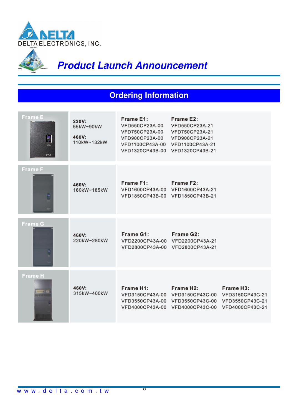

## **Ordering Information**

| <b>Frame E</b><br>i.<br>pa 2 | 230V:<br>55kW~90kW<br>460V:<br>110kW~132kW | Frame E1:<br>VFD550CP23A-00<br>VFD750CP23A-00<br>VFD900CP23A-00<br>VFD1100CP43A-00 VFD1100CP43A-21<br>VFD1320CP43B-00 VFD1320CP43B-21 | Frame E2:<br>VFD550CP23A-21<br>VFD750CP23A-21<br>VFD900CP23A-21                                                                                                                 |                        |
|------------------------------|--------------------------------------------|---------------------------------------------------------------------------------------------------------------------------------------|---------------------------------------------------------------------------------------------------------------------------------------------------------------------------------|------------------------|
| Frame F<br>E                 | 460V:<br>160kW~185kW                       | Frame F1:                                                                                                                             | Frame F2:<br>VFD1600CP43A-00 VFD1600CP43A-21<br>VFD1850CP43B-00 VFD1850CP43B-21                                                                                                 |                        |
| Frame G                      | 460V:<br>220kW~280kW                       | Frame G1:                                                                                                                             | <b>Frame G2:</b><br>VFD2200CP43A-00 VFD2200CP43A-21<br>VFD2800CP43A-00 VFD2800CP43A-21                                                                                          |                        |
| <b>Frame H</b>               | 460V:<br>315kW~400kW                       | Frame H1:                                                                                                                             | Frame H <sub>2</sub> :<br>VFD3150CP43A-00 VFD3150CP43C-00 VFD3150CP43C-21<br>VFD3550CP43A-00 VFD3550CP43C-00 VFD3550CP43C-21<br>VFD4000CP43A-00 VFD4000CP43C-00 VFD4000CP43C-21 | Frame H <sub>3</sub> : |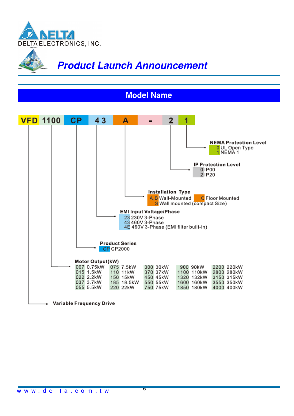